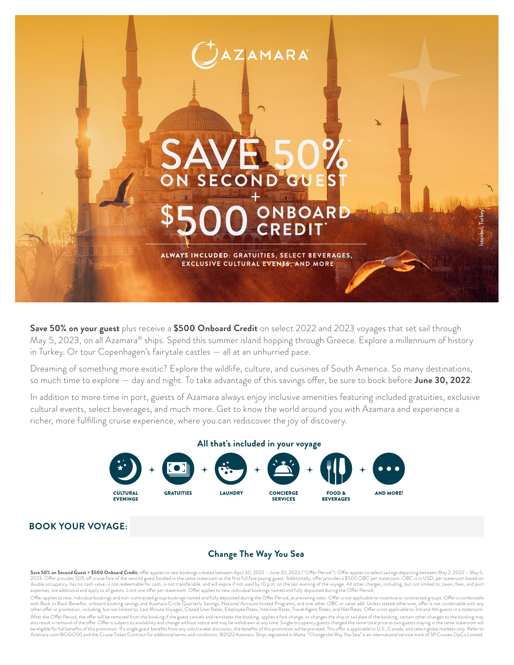

**Save 50% on your guest** plus receive a **\$500 Onboard Credit** on select 2022 and 2023 voyages that set sail through May 5, 2023, on all Azamara® ships. Spend this summer island hopping through Greece. Explore a millennium of history in Turkey. Or tour Copenhagen's fairytale castles — all at an unhurried pace.

Dreaming of something more exotic? Explore the wildlife, culture, and cuisines of South America. So many destinations, so much time to explore — day and night. To take advantage of this savings offer, be sure to book before **June 30, 2022**.

In addition to more time in port, guests of Azamara always enjoy inclusive amenities featuring included gratuities, exclusive cultural events, select beverages, and much more. Get to know the world around you with Azamara and experience a richer, more fulfilling cruise experience, where you can rediscover the joy of discovery.



## **BOOK YOUR VOYAGE:**

# **Change The Way You Sea**

**Save 50% on Second Guest + \$500 Onboard Credit:** offer applies to new bookings created between April 30, 2022 – June 30, 2022 ("Offer Period"). Offer applies to select sailings departing between May 2, 2022 – May 5,<br>2023. double occupancy, has no cash value, is not redeemable for cash, is not transferable, and will expire if not used by 10 p.m. on the last evening of the voyage. All other charges, including, but not limited to, taxes, fees,

Offer applies to new, individual bookings and non-contracted group bookings named and fully deposited during the Offer Period, at prevailing rates. Offer is not applicable to incentive or contracted groups. Offer is combin other offer or promotion, including, but not limited to, Last Minute Voyages, Closed User Rates, Enployee Rates, Interline Rates, Travel Agent Rates, and Net Rates. Offer is not applicable to 3rd and 4th guests in a stater After the Offer Period, the offer will be removed from the booking if the guest cancels and reinstates the booking, applies a fare change, or changes the ship or sail date of the booking; certain other changes to the booki Azamara.com/BOGO50 and the Cruise Ticket Contract for additional terms and conditions. ©2022 Azamara. Ships registered in Malta. "Change the Way You Sea" is an international service mark of SP Cruises OpCo Limited.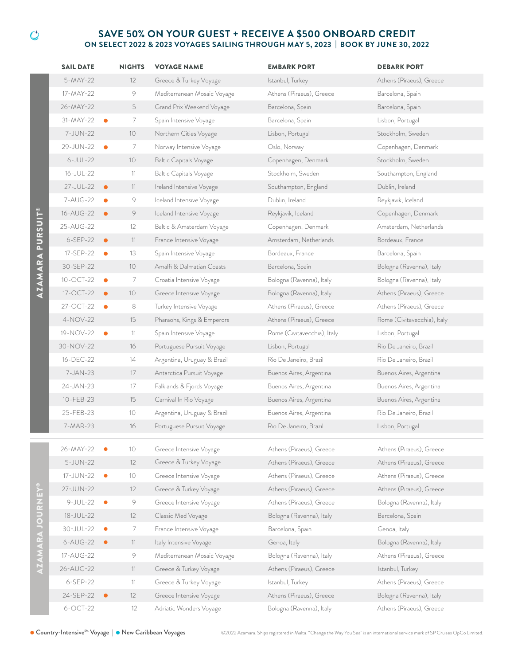### **SAVE 50% ON YOUR GUEST + RECEIVE A \$500 ONBOARD CREDIT ON SELECT 2022 & 2023 VOYAGES SAILING THROUGH MAY 5, 2023 | BOOK BY JUNE 30, 2022**

|                  | <b>SAIL DATE</b>      |           | <b>NIGHTS</b>   | <b>VOYAGE NAME</b>                                | <b>EMBARK PORT</b>          | <b>DEBARK PORT</b>                                   |
|------------------|-----------------------|-----------|-----------------|---------------------------------------------------|-----------------------------|------------------------------------------------------|
| AZAMARA PURSUIT® | 5-MAY-22              |           | 12              | Greece & Turkey Voyage                            | Istanbul, Turkey            | Athens (Piraeus), Greece                             |
|                  | 17-MAY-22             |           | 9               | Mediterranean Mosaic Voyage                       | Athens (Piraeus), Greece    | Barcelona, Spain                                     |
|                  | 26-MAY-22             |           | 5               | Grand Prix Weekend Voyage                         | Barcelona, Spain            | Barcelona, Spain                                     |
|                  | 31-MAY-22             | $\bullet$ | 7               | Spain Intensive Voyage                            | Barcelona, Spain            | Lisbon, Portugal                                     |
|                  | 7-JUN-22              |           | 10              | Northern Cities Voyage                            | Lisbon, Portugal            | Stockholm, Sweden                                    |
|                  | 29-JUN-22             |           | 7               | Norway Intensive Voyage                           | Oslo, Norway                | Copenhagen, Denmark                                  |
|                  | $6$ -JUL-22           |           | $10$            | <b>Baltic Capitals Voyage</b>                     | Copenhagen, Denmark         | Stockholm, Sweden                                    |
|                  | 16-JUL-22             |           | 11              | <b>Baltic Capitals Voyage</b>                     | Stockholm, Sweden           | Southampton, England                                 |
|                  | 27-JUL-22             | $\bullet$ | 11              | Ireland Intensive Voyage                          | Southampton, England        | Dublin, Ireland                                      |
|                  | 7-AUG-22              | $\bullet$ | 9               | Iceland Intensive Voyage                          | Dublin, Ireland             | Reykjavik, Iceland                                   |
|                  | 16-AUG-22             | $\bullet$ | 9               | Iceland Intensive Voyage                          | Reykjavik, Iceland          | Copenhagen, Denmark                                  |
|                  | 25-AUG-22             |           | 12              | Baltic & Amsterdam Voyage                         | Copenhagen, Denmark         | Amsterdam, Netherlands                               |
|                  | 6-SEP-22              | $\bullet$ | 11              | France Intensive Voyage                           | Amsterdam, Netherlands      | Bordeaux, France                                     |
|                  | 17-SEP-22             | $\bullet$ | 13              | Spain Intensive Voyage                            | Bordeaux, France            | Barcelona, Spain                                     |
|                  | 30-SEP-22             |           | 10              | Amalfi & Dalmatian Coasts                         | Barcelona, Spain            | Bologna (Ravenna), Italy                             |
|                  | 10-OCT-22             | $\bullet$ | 7               | Croatia Intensive Voyage                          | Bologna (Ravenna), Italy    | Bologna (Ravenna), Italy                             |
|                  | 17-OCT-22             | $\bullet$ | 10 <sup>°</sup> | Greece Intensive Voyage                           | Bologna (Ravenna), Italy    | Athens (Piraeus), Greece                             |
|                  | 27-OCT-22             | $\bullet$ | 8               | Turkey Intensive Voyage                           | Athens (Piraeus), Greece    | Athens (Piraeus), Greece                             |
|                  | 4-NOV-22              |           | 15              | Pharaohs, Kings & Emperors                        | Athens (Piraeus), Greece    | Rome (Civitavecchia), Italy                          |
|                  | 19-NOV-22             |           | 11              | Spain Intensive Voyage                            | Rome (Civitavecchia), Italy | Lisbon, Portugal                                     |
|                  | 30-NOV-22             |           | 16              | Portuguese Pursuit Voyage                         | Lisbon, Portugal            | Rio De Janeiro, Brazil                               |
|                  | 16-DEC-22             |           | 14              | Argentina, Uruguay & Brazil                       | Rio De Janeiro, Brazil      | Rio De Janeiro, Brazil                               |
|                  | 7-JAN-23              |           | 17              | Antarctica Pursuit Voyage                         | Buenos Aires, Argentina     | Buenos Aires, Argentina                              |
|                  | 24-JAN-23             |           | 17              | Falklands & Fjords Voyage                         | Buenos Aires, Argentina     | Buenos Aires, Argentina                              |
|                  | 10-FEB-23             |           | 15              | Carnival In Rio Voyage                            | Buenos Aires, Argentina     | Buenos Aires, Argentina                              |
|                  | 25-FEB-23             |           | 10              | Argentina, Uruguay & Brazil                       | Buenos Aires, Argentina     | Rio De Janeiro, Brazil                               |
|                  | 7-MAR-23              |           | 16              | Portuguese Pursuit Voyage                         | Rio De Janeiro, Brazil      | Lisbon, Portugal                                     |
|                  |                       |           |                 |                                                   |                             |                                                      |
| íш               | 26-MAY-22<br>5-JUN-22 |           | 10 <sup>°</sup> | Greece Intensive Voyage<br>Greece & Turkey Voyage | Athens (Piraeus), Greece    | Athens (Piraeus), Greece<br>Athens (Piraeus), Greece |
|                  |                       |           | 12              |                                                   | Athens (Piraeus), Greece    |                                                      |
|                  | 17-JUN-22             | $\bullet$ | 10              | Greece Intensive Voyage                           | Athens (Piraeus), Greece    | Athens (Piraeus), Greece                             |
|                  | 27-JUN-22             |           | 12              | Greece & Turkey Voyage                            | Athens (Piraeus), Greece    | Athens (Piraeus), Greece                             |
|                  | $9-JUL-22$            | $\bullet$ | 9               | Greece Intensive Voyage                           | Athens (Piraeus), Greece    | Bologna (Ravenna), Italy                             |
|                  | 18-JUL-22             |           | 12              | Classic Med Voyage                                | Bologna (Ravenna), Italy    | Barcelona, Spain                                     |
|                  | 30-JUL-22             | $\bullet$ | 7               | France Intensive Voyage                           | Barcelona, Spain            | Genoa, Italy                                         |
|                  | 6-AUG-22              | $\bullet$ | 11              | Italy Intensive Voyage                            | Genoa, Italy                | Bologna (Ravenna), Italy                             |
|                  | 17-AUG-22             |           | 9               | Mediterranean Mosaic Voyage                       | Bologna (Ravenna), Italy    | Athens (Piraeus), Greece                             |
|                  | 26-AUG-22             |           | 11              | Greece & Turkey Voyage                            | Athens (Piraeus), Greece    | Istanbul, Turkey                                     |
|                  | 6-SEP-22              |           | 11              | Greece & Turkey Voyage                            | Istanbul, Turkey            | Athens (Piraeus), Greece                             |
|                  | 24-SEP-22             |           | 12              | Greece Intensive Voyage                           | Athens (Piraeus), Greece    | Bologna (Ravenna), Italy                             |
|                  | $6$ -OCT-22           |           | 12              | Adriatic Wonders Voyage                           | Bologna (Ravenna), Italy    | Athens (Piraeus), Greece                             |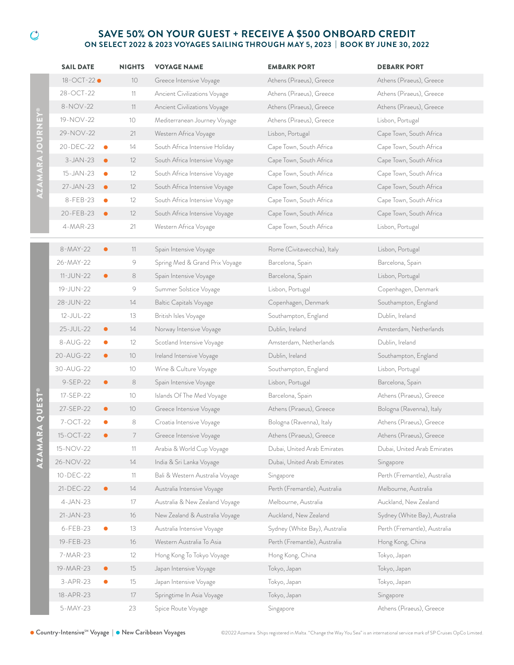### **SAVE 50% ON YOUR GUEST + RECEIVE A \$500 ONBOARD CREDIT ON SELECT 2022 & 2023 VOYAGES SAILING THROUGH MAY 5, 2023 | BOOK BY JUNE 30, 2022**

|                                         | <b>SAIL DATE</b>        | <b>NIGHTS</b>     | <b>VOYAGE NAME</b>              | <b>EMBARK PORT</b>            | <b>DEBARK PORT</b>            |
|-----------------------------------------|-------------------------|-------------------|---------------------------------|-------------------------------|-------------------------------|
| ≝<br>มี<br>D<br>$\overline{\mathbf{o}}$ | 18-OCT-22 ●             | 10 <sup>°</sup>   | Greece Intensive Voyage         | Athens (Piraeus), Greece      | Athens (Piraeus), Greece      |
|                                         | 28-OCT-22               | 11                | Ancient Civilizations Voyage    | Athens (Piraeus), Greece      | Athens (Piraeus), Greece      |
|                                         | 8-NOV-22                | 11                | Ancient Civilizations Voyage    | Athens (Piraeus), Greece      | Athens (Piraeus), Greece      |
|                                         | 19-NOV-22               | 10                | Mediterranean Journey Voyage    | Athens (Piraeus), Greece      | Lisbon, Portugal              |
|                                         | 29-NOV-22               | 21                | Western Africa Voyage           | Lisbon, Portugal              | Cape Town, South Africa       |
|                                         | 20-DEC-22<br>$\bullet$  | 14                | South Africa Intensive Holiday  | Cape Town, South Africa       | Cape Town, South Africa       |
|                                         | $3-JAN-23$<br>$\bullet$ | $12 \overline{ }$ | South Africa Intensive Voyage   | Cape Town, South Africa       | Cape Town, South Africa       |
|                                         | 15-JAN-23<br>$\bullet$  | 12                | South Africa Intensive Voyage   | Cape Town, South Africa       | Cape Town, South Africa       |
|                                         | 27-JAN-23<br>$\bullet$  | 12                | South Africa Intensive Voyage   | Cape Town, South Africa       | Cape Town, South Africa       |
|                                         | 8-FEB-23<br>$\bullet$   | $12 \overline{ }$ | South Africa Intensive Voyage   | Cape Town, South Africa       | Cape Town, South Africa       |
|                                         | 20-FEB-23<br>$\bullet$  | 12                | South Africa Intensive Voyage   | Cape Town, South Africa       | Cape Town, South Africa       |
|                                         | 4-MAR-23                | 21                | Western Africa Voyage           | Cape Town, South Africa       | Lisbon, Portugal              |
|                                         | 8-MAY-22<br>$\bullet$   | 11                | Spain Intensive Voyage          | Rome (Civitavecchia), Italy   | Lisbon, Portugal              |
|                                         | 26-MAY-22               | 9                 | Spring Med & Grand Prix Voyage  | Barcelona, Spain              | Barcelona, Spain              |
|                                         | 11-JUN-22<br>$\bullet$  | 8                 | Spain Intensive Voyage          | Barcelona, Spain              | Lisbon, Portugal              |
|                                         | 19-JUN-22               | 9                 | Summer Solstice Voyage          | Lisbon, Portugal              | Copenhagen, Denmark           |
|                                         | 28-JUN-22               | 14                | <b>Baltic Capitals Voyage</b>   | Copenhagen, Denmark           | Southampton, England          |
|                                         | 12-JUL-22               | 13                | British Isles Voyage            | Southampton, England          | Dublin, Ireland               |
|                                         | 25-JUL-22<br>$\bullet$  | 14                | Norway Intensive Voyage         | Dublin, Ireland               | Amsterdam, Netherlands        |
|                                         | 8-AUG-22<br>$\bullet$   | 12                | Scotland Intensive Voyage       | Amsterdam, Netherlands        | Dublin, Ireland               |
|                                         | 20-AUG-22<br>$\bullet$  | 10                | Ireland Intensive Voyage        | Dublin, Ireland               | Southampton, England          |
|                                         | 30-AUG-22               | 10                | Wine & Culture Voyage           | Southampton, England          | Lisbon, Portugal              |
|                                         | 9-SEP-22<br>$\bullet$   | 8                 | Spain Intensive Voyage          | Lisbon, Portugal              | Barcelona, Spain              |
| RA QUEST®                               | 17-SEP-22               | 10                | Islands Of The Med Voyage       | Barcelona, Spain              | Athens (Piraeus), Greece      |
|                                         | 27-SEP-22<br>$\bullet$  | 10                | Greece Intensive Voyage         | Athens (Piraeus), Greece      | Bologna (Ravenna), Italy      |
|                                         | 7-OCT-22<br>$\bullet$   | 8                 | Croatia Intensive Voyage        | Bologna (Ravenna), Italy      | Athens (Piraeus), Greece      |
|                                         | 15-OCT-22<br>$\bullet$  | 7                 | Greece Intensive Voyage         | Athens (Piraeus), Greece      | Athens (Piraeus), Greece      |
|                                         | 15-NOV-22               | 11                | Arabia & World Cup Voyage       | Dubai, United Arab Emirates   | Dubai, United Arab Emirates   |
| <b>AZAMA</b>                            | 26-NOV-22               | 14                | India & Sri Lanka Voyage        | Dubai, United Arab Emirates   | Singapore                     |
|                                         | 10-DEC-22               | 11                | Bali & Western Australia Voyage | Singapore                     | Perth (Fremantle), Australia  |
|                                         | 21-DEC-22<br>$\bullet$  | 14                | Australia Intensive Voyage      | Perth (Fremantle), Australia  | Melbourne, Australia          |
|                                         | $4-JAN-23$              | 17                | Australia & New Zealand Voyage  | Melbourne, Australia          | Auckland, New Zealand         |
|                                         | $21 - JAN - 23$         | 16                | New Zealand & Australia Voyage  | Auckland, New Zealand         | Sydney (White Bay), Australia |
|                                         | 6-FEB-23<br>$\bullet$   | 13                | Australia Intensive Voyage      | Sydney (White Bay), Australia | Perth (Fremantle), Australia  |
|                                         | 19-FEB-23               | 16                | Western Australia To Asia       | Perth (Fremantle), Australia  | Hong Kong, China              |
|                                         | 7-MAR-23                | 12                | Hong Kong To Tokyo Voyage       | Hong Kong, China              | Tokyo, Japan                  |
|                                         | 19-MAR-23<br>$\bullet$  | 15                | Japan Intensive Voyage          | Tokyo, Japan                  | Tokyo, Japan                  |
|                                         | 3-APR-23<br>$\bullet$   | 15                | Japan Intensive Voyage          | Tokyo, Japan                  | Tokyo, Japan                  |
|                                         | 18-APR-23               | 17                | Springtime In Asia Voyage       | Tokyo, Japan                  | Singapore                     |
|                                         | 5-MAY-23                | 23                | Spice Route Voyage              | Singapore                     | Athens (Piraeus), Greece      |